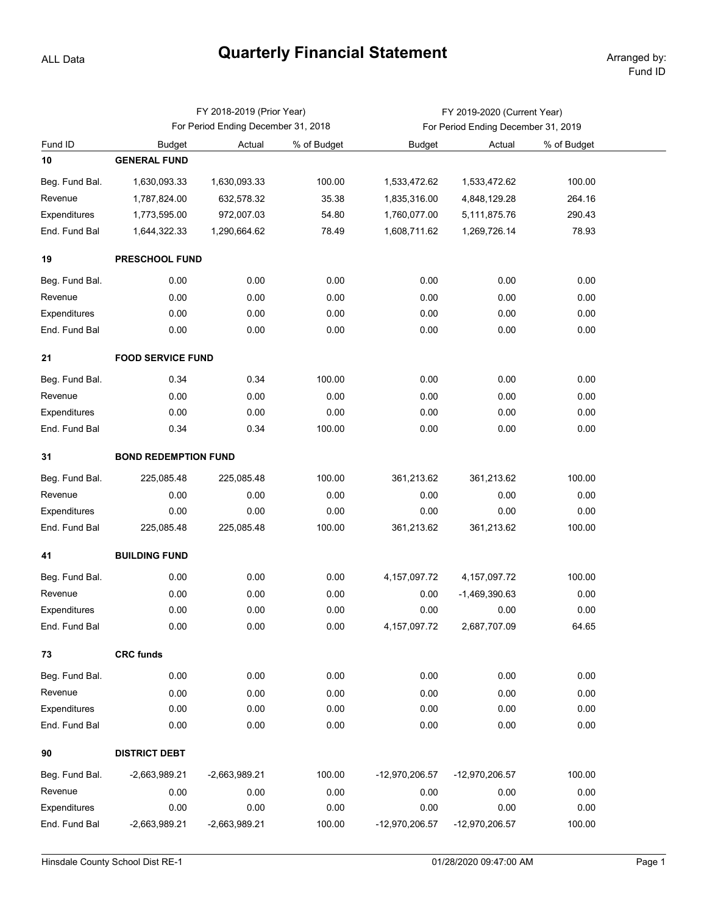## **Quarterly Financial Statement** Arranged by:

ALL Data

|                |                                     | FY 2018-2019 (Prior Year) |             | FY 2019-2020 (Current Year)         |                 |             |  |  |  |  |  |
|----------------|-------------------------------------|---------------------------|-------------|-------------------------------------|-----------------|-------------|--|--|--|--|--|
|                | For Period Ending December 31, 2018 |                           |             | For Period Ending December 31, 2019 |                 |             |  |  |  |  |  |
| Fund ID        | <b>Budget</b>                       | Actual                    | % of Budget | <b>Budget</b>                       | Actual          | % of Budget |  |  |  |  |  |
| 10             | <b>GENERAL FUND</b>                 |                           |             |                                     |                 |             |  |  |  |  |  |
| Beg. Fund Bal. | 1,630,093.33                        | 1,630,093.33              | 100.00      | 1,533,472.62                        | 1,533,472.62    | 100.00      |  |  |  |  |  |
| Revenue        | 1,787,824.00                        | 632,578.32                | 35.38       | 1,835,316.00                        | 4,848,129.28    | 264.16      |  |  |  |  |  |
| Expenditures   | 1,773,595.00                        | 972,007.03                | 54.80       | 1,760,077.00                        | 5,111,875.76    | 290.43      |  |  |  |  |  |
| End. Fund Bal  | 1,644,322.33                        | 1,290,664.62              | 78.49       | 1,608,711.62                        | 1,269,726.14    | 78.93       |  |  |  |  |  |
| 19             | PRESCHOOL FUND                      |                           |             |                                     |                 |             |  |  |  |  |  |
| Beg. Fund Bal. | 0.00                                | 0.00                      | 0.00        | 0.00                                | 0.00            | 0.00        |  |  |  |  |  |
| Revenue        | 0.00                                | 0.00                      | 0.00        | 0.00                                | 0.00            | 0.00        |  |  |  |  |  |
| Expenditures   | 0.00                                | 0.00                      | 0.00        | 0.00                                | 0.00            | 0.00        |  |  |  |  |  |
| End. Fund Bal  | 0.00                                | 0.00                      | 0.00        | 0.00                                | 0.00            | 0.00        |  |  |  |  |  |
| 21             | <b>FOOD SERVICE FUND</b>            |                           |             |                                     |                 |             |  |  |  |  |  |
| Beg. Fund Bal. | 0.34                                | 0.34                      | 100.00      | 0.00                                | 0.00            | 0.00        |  |  |  |  |  |
| Revenue        | 0.00                                | 0.00                      | 0.00        | 0.00                                | 0.00            | 0.00        |  |  |  |  |  |
| Expenditures   | 0.00                                | 0.00                      | 0.00        | 0.00                                | 0.00            | 0.00        |  |  |  |  |  |
| End. Fund Bal  | 0.34                                | 0.34                      | 100.00      | 0.00                                | 0.00            | 0.00        |  |  |  |  |  |
| 31             | <b>BOND REDEMPTION FUND</b>         |                           |             |                                     |                 |             |  |  |  |  |  |
| Beg. Fund Bal. | 225,085.48                          | 225,085.48                | 100.00      | 361,213.62                          | 361,213.62      | 100.00      |  |  |  |  |  |
| Revenue        | 0.00                                | 0.00                      | 0.00        | 0.00                                | 0.00            | 0.00        |  |  |  |  |  |
| Expenditures   | 0.00                                | 0.00                      | 0.00        | 0.00                                | 0.00            | 0.00        |  |  |  |  |  |
| End. Fund Bal  | 225,085.48                          | 225,085.48                | 100.00      | 361,213.62                          | 361,213.62      | 100.00      |  |  |  |  |  |
| 41             | <b>BUILDING FUND</b>                |                           |             |                                     |                 |             |  |  |  |  |  |
| Beg. Fund Bal. | 0.00                                | 0.00                      | 0.00        | 4, 157, 097. 72                     | 4, 157, 097. 72 | 100.00      |  |  |  |  |  |
| Revenue        | 0.00                                | 0.00                      | 0.00        | 0.00                                | $-1,469,390.63$ | 0.00        |  |  |  |  |  |
| Expenditures   | 0.00                                | 0.00                      | 0.00        | 0.00                                | 0.00            | 0.00        |  |  |  |  |  |
| End. Fund Bal  | 0.00                                | 0.00                      | 0.00        | 4, 157, 097. 72                     | 2,687,707.09    | 64.65       |  |  |  |  |  |
| 73             | <b>CRC funds</b>                    |                           |             |                                     |                 |             |  |  |  |  |  |
| Beg. Fund Bal. | 0.00                                | 0.00                      | 0.00        | 0.00                                | 0.00            | 0.00        |  |  |  |  |  |
| Revenue        | 0.00                                | 0.00                      | 0.00        | 0.00                                | 0.00            | 0.00        |  |  |  |  |  |
| Expenditures   | 0.00                                | 0.00                      | 0.00        | 0.00                                | 0.00            | 0.00        |  |  |  |  |  |
| End. Fund Bal  | 0.00                                | 0.00                      | 0.00        | 0.00                                | 0.00            | 0.00        |  |  |  |  |  |
| 90             | <b>DISTRICT DEBT</b>                |                           |             |                                     |                 |             |  |  |  |  |  |
| Beg. Fund Bal. | $-2,663,989.21$                     | -2,663,989.21             | 100.00      | -12,970,206.57                      | -12,970,206.57  | 100.00      |  |  |  |  |  |
| Revenue        | 0.00                                | 0.00                      | 0.00        | 0.00                                | 0.00            | 0.00        |  |  |  |  |  |
| Expenditures   | 0.00                                | 0.00                      | 0.00        | 0.00                                | 0.00            | 0.00        |  |  |  |  |  |
| End. Fund Bal  | $-2,663,989.21$                     | -2,663,989.21             | 100.00      | -12,970,206.57                      | -12,970,206.57  | 100.00      |  |  |  |  |  |